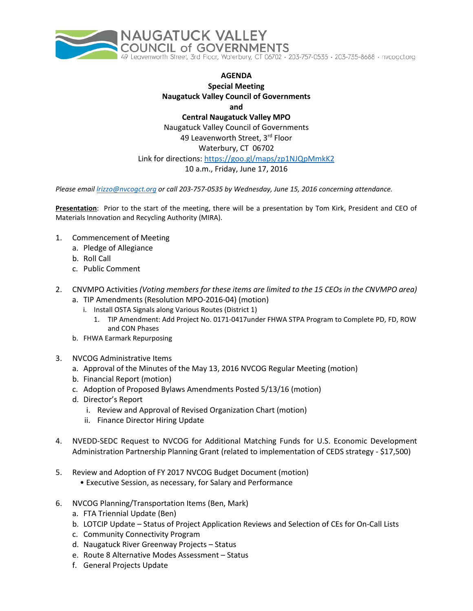

## **AGENDA Special Meeting Naugatuck Valley Council of Governments and**

**Central Naugatuck Valley MPO** Naugatuck Valley Council of Governments 49 Leavenworth Street, 3rd Floor Waterbury, CT 06702 Link for directions[: https://goo.gl/maps/zp1NJQpMmkK2](https://goo.gl/maps/zp1NJQpMmkK2)  10 a.m., Friday, June 17, 2016

*Please email [lrizzo@nvcogct.org](mailto:lrizzo@nvcogct.org) or call 203-757-0535 by Wednesday, June 15, 2016 concerning attendance.*

**Presentation**: Prior to the start of the meeting, there will be a presentation by Tom Kirk, President and CEO of Materials Innovation and Recycling Authority (MIRA).

- 1. Commencement of Meeting
	- a. Pledge of Allegiance
	- b. Roll Call
	- c. Public Comment
- 2. CNVMPO Activities *(Voting members for these items are limited to the 15 CEOs in the CNVMPO area)*
	- a. TIP Amendments (Resolution MPO-2016-04) (motion)
		- i. Install OSTA Signals along Various Routes (District 1)
			- 1. TIP Amendment: Add Project No. 0171-0417under FHWA STPA Program to Complete PD, FD, ROW and CON Phases
	- b. FHWA Earmark Repurposing
- 3. NVCOG Administrative Items
	- a. Approval of the Minutes of the May 13, 2016 NVCOG Regular Meeting (motion)
	- b. Financial Report (motion)
	- c. Adoption of Proposed Bylaws Amendments Posted 5/13/16 (motion)
	- d. Director's Report
		- i. Review and Approval of Revised Organization Chart (motion)
		- ii. Finance Director Hiring Update
- 4. NVEDD-SEDC Request to NVCOG for Additional Matching Funds for U.S. Economic Development Administration Partnership Planning Grant (related to implementation of CEDS strategy - \$17,500)
- 5. Review and Adoption of FY 2017 NVCOG Budget Document (motion)
	- Executive Session, as necessary, for Salary and Performance
- 6. NVCOG Planning/Transportation Items (Ben, Mark)
	- a. FTA Triennial Update (Ben)
	- b. LOTCIP Update Status of Project Application Reviews and Selection of CEs for On-Call Lists
	- c. Community Connectivity Program
	- d. Naugatuck River Greenway Projects Status
	- e. Route 8 Alternative Modes Assessment Status
	- f. General Projects Update